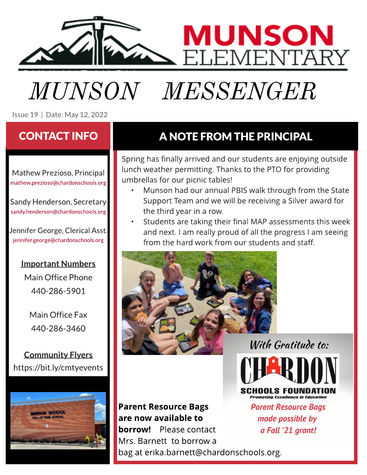

# **MUNSON MESSENGER**  $\widetilde{\mathcal{S}}$  is the H ight in the  $\widetilde{\mathcal{S}}$  is the H ight in the  $\widetilde{\mathcal{S}}$  is the H ight in the H ight in the H ight in the H ight in the H ight in the H ight in the H ight in the H ight in the H ight in the H ight

Issue 19 | Date: May 12,2022

Mathew Prezioso, Principal [mathew.prezioso@chardonschools.org](mailto:mathew.prezioso@chardonschools.org)

Sandy Henderson, Secretary [sandy.henderson@chardonschools.org](mailto:sandy.henderson@chardonschools.org)

Jennifer George, Clerical Asst. [jennifer.george@chardonschools.org](mailto:jennifer.george@chardonschools.org)

#### Important Numbers

Main Office Phone 440-286-5901

Main Office Fax 440-286-3460

Community Flyers <https://bit.ly/cmtyevents>



### CONTACT INFO ANOTE FROM THE PRINCIPAL

Spring has finally arrived and our students are enjoying outside lunch weather permitting. Thanks to the PTO for providing umbrellas for our picnic tables!

- Munson had our annual PBIS walk through from the State Support Team and we will be receiving a Silver award for the third year in a row.
- Students are taking their final MAP assessments this week and next. I am really proud of all the progress I am seeing from the hard work from our students and staff.



Parent Resource Bags are now available to **borrow!** Please contact Mrs. Barnett to borrow a bag at [erika.barnett@chardonschools.org](mailto:erika.barnett@chardonschools.org).

With Gratitude to:

CHANI S FAIINN*I* **Promoting Excellence in Education** 

**Parent Resource Bags** made possible by a Fall '21 grant!